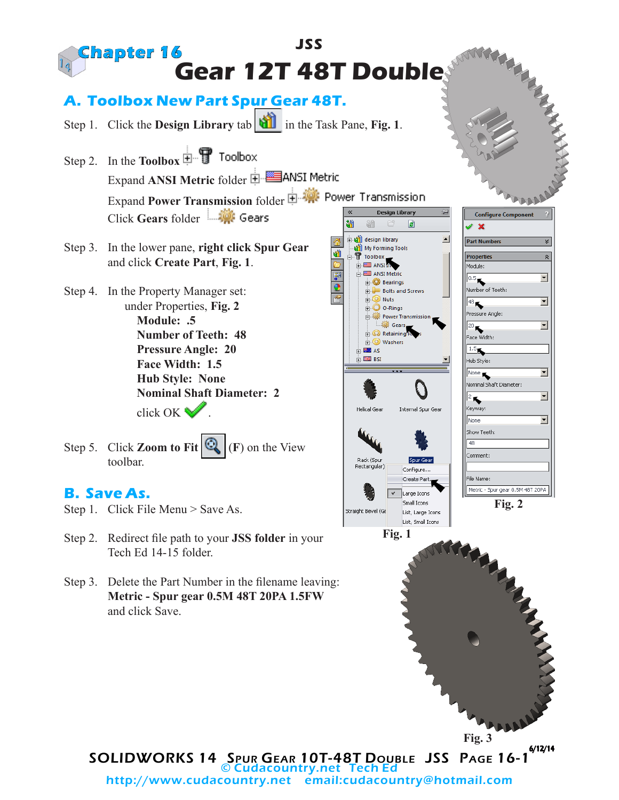

SOLIDWORKS 14 Spur Gear 10T-48T Double JSS Page 16-1 6/12/14 © Cudacountry.net Tech Ed http://www.cudacountry.net email:cudacountry@hotmail.com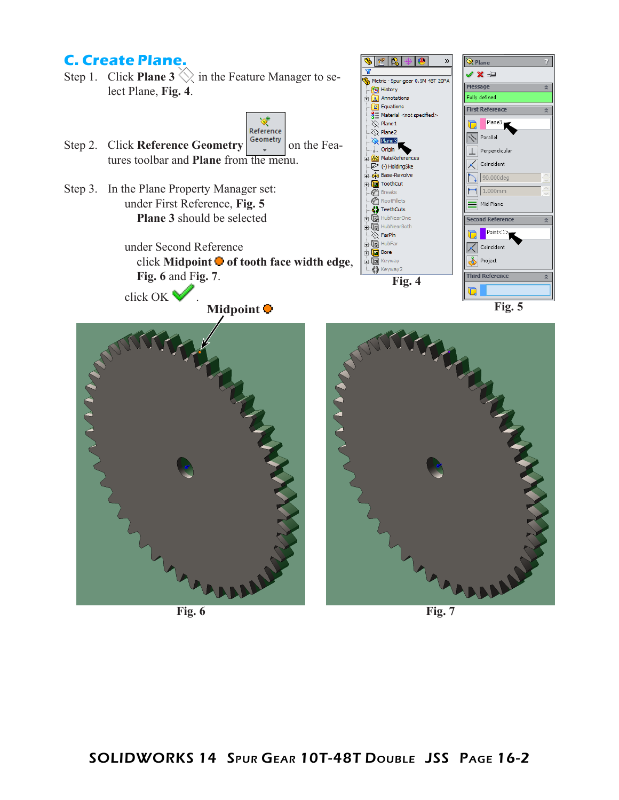## **C. Create Plane.**

Step 1. Click **Plane 3**  $\Diamond$  in the Feature Manager to select Plane, **Fig. 4**.



6 B.

 $\bullet$ 

Metric - Spur gear 0.5M 48T 20PA

 $\mathbf{v}$ 

 $\hat{\mathbf{Q}}$  Plane V X ÷

Message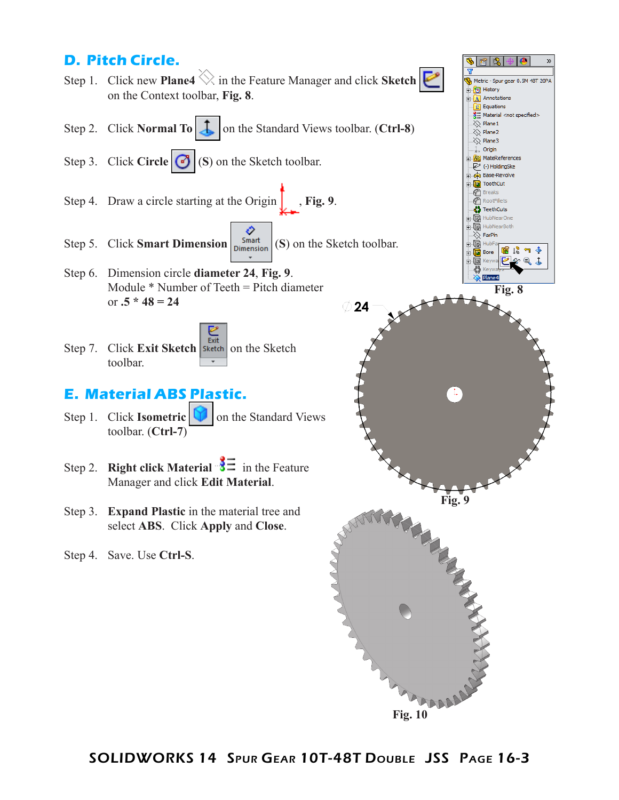#### **D. Pitch Circle.**  $\gg$ Step 1. Click new **Plane4** in the Feature Manager and click **Sketch** Metric - Spur gear 0.5M 48T 20PA **D** History on the Context toolbar, **Fig. 8**.  $\mathbf{A}$  Annotations  $\sqrt{\sum_{i=1}^{n} E_{i}}$  Equations  $\frac{3}{2}$  Material <not specified>  $\overline{\diamondsuit}$  Plane 1 Step 2. Click **Normal To**  $\begin{array}{|c|c|c|} \hline \end{array}$  on the Standard Views toolbar. (**Ctrl-8**)  $\gg$  Plane2  $\gg$  Plane3 Origin Step 3. Click **Circle**  $\bigcirc$  (S) on the Sketch toolbar. **R** MateReferences (-) HoldingSke **Gio** Base-Revolve ToothCut **P** Breaks Step 4. Draw a circle starting at the Origin  $\left| \right|$ , **Fig. 9**. RootFillets *C* RootFillets<br>**C**<sub>p</sub> TeethCuts HubNearOne **HubNearBoth** ÷ Q ℯ  $\overline{\otimes}$  FarPln Step 5. Click **Smart Dimension**  $\begin{bmatrix}$  Smart (S) on the Sketch toolbar. ∔ி⊌ Hubl 宿帰勺手 由信 Bore  $@A$ Ė Step 6. Dimension circle **diameter 24**, **Fig. 9**. Module \* Number of Teeth = Pitch diameter **Fig. 8** or **.5 \* 48 = 24** 24 Exit Step 7. Click **Exit Sketch Sketch** on the Sketch toolbar. **E. Material ABS Plastic.** Step 1. Click **Isometric T** on the Standard Views toolbar. (**Ctrl-7**) Step 2. **Right click Material**  $\frac{3}{5}$  in the Feature Manager and click **Edit Material**. **Fig. 9** Step 3. **Expand Plastic** in the material tree and select **ABS**. Click **Apply** and **Close**. Step 4. Save. Use **Ctrl-S**.

**Fig. 10**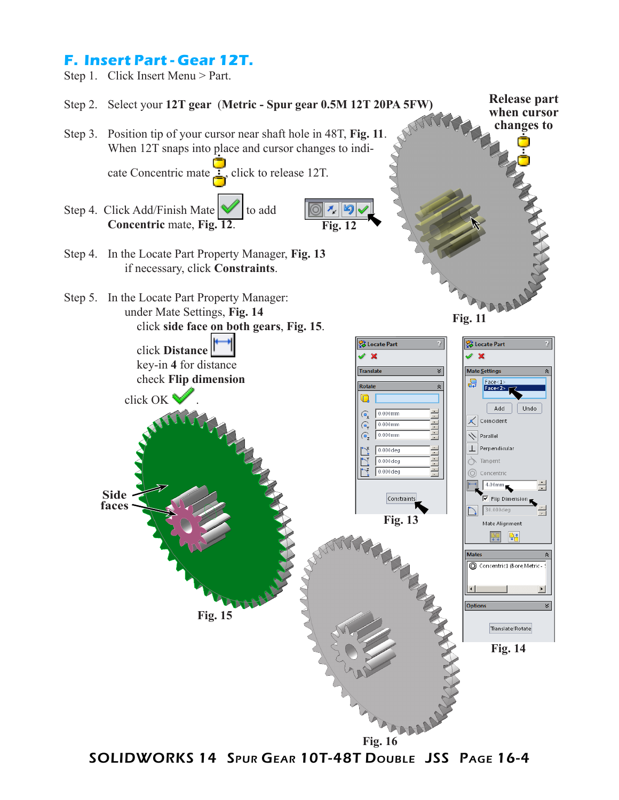# **F. Insert Part - Gear 12T.**



SOLIDWORKS 14 Spur Gear 10T-48T Double JSS Page 16-4 **Fig. 16**